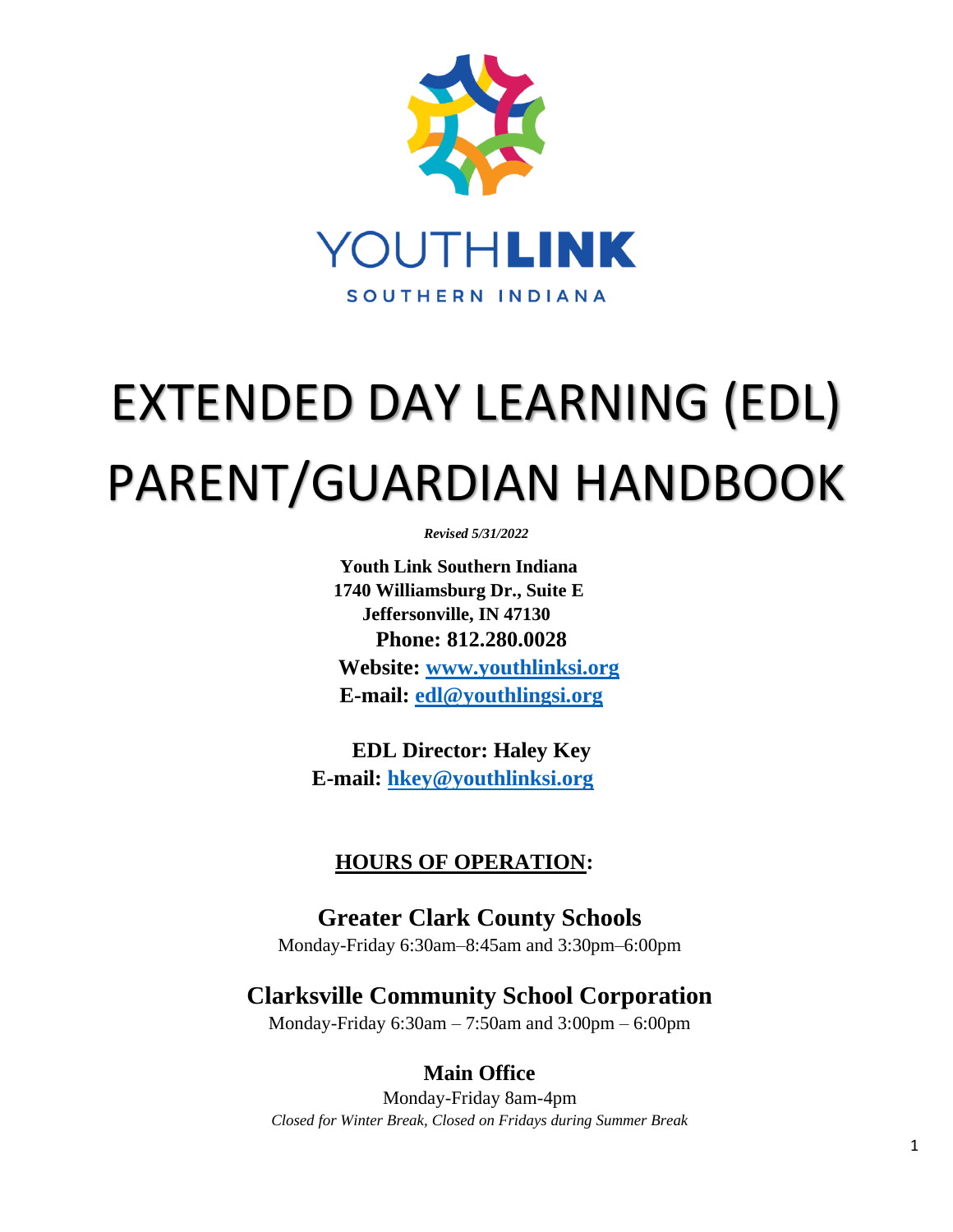

# EXTENDED DAY LEARNING (EDL) PARENT/GUARDIAN HANDBOOK

*Revised 5/31/2022*

**Youth Link Southern Indiana 1740 Williamsburg Dr., Suite E Jeffersonville, IN 47130 Phone: 812.280.0028 Website: [www.youthlinksi.org](http://www.youthlinksi.org/) E-mail: [edl@youthlingsi.org](mailto:edl@youthlingsi.org)**

**EDL Director: Haley Key E-mail: [hkey@youthlinksi.org](mailto:hkey@youthlinksi.org)** 

# **HOURS OF OPERATION:**

**Greater Clark County Schools** Monday-Friday 6:30am–8:45am and 3:30pm–6:00pm

# **Clarksville Community School Corporation**

Monday-Friday 6:30am – 7:50am and 3:00pm – 6:00pm

**Main Office**

Monday-Friday 8am-4pm *Closed for Winter Break, Closed on Fridays during Summer Break*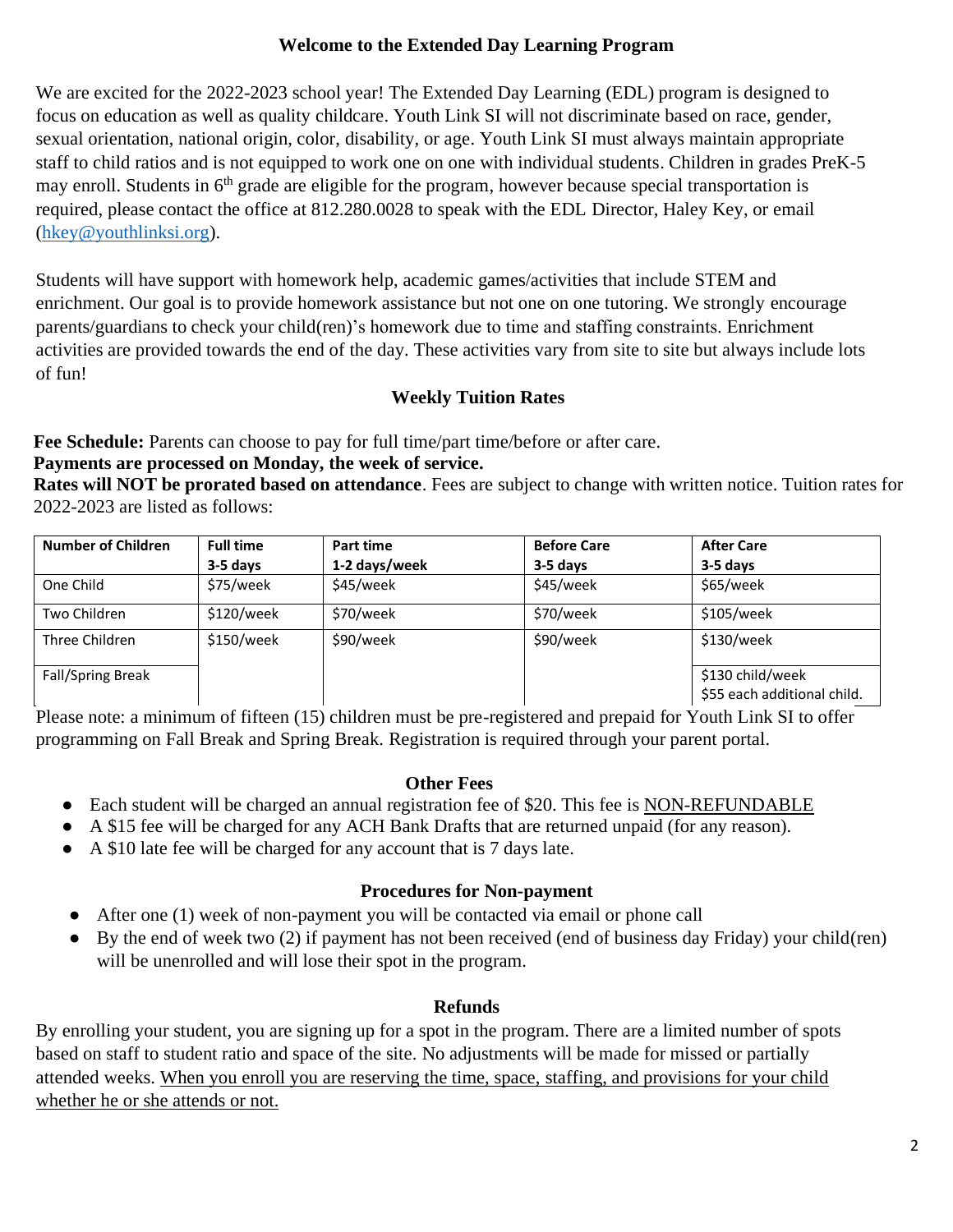#### **Welcome to the Extended Day Learning Program**

We are excited for the 2022-2023 school year! The Extended Day Learning (EDL) program is designed to focus on education as well as quality childcare. Youth Link SI will not discriminate based on race, gender, sexual orientation, national origin, color, disability, or age. Youth Link SI must always maintain appropriate staff to child ratios and is not equipped to work one on one with individual students. Children in grades PreK-5 may enroll. Students in  $6<sup>th</sup>$  grade are eligible for the program, however because special transportation is required, please contact the office at 812.280.0028 to speak with the EDL Director, Haley Key, or email [\(hkey@youthlinksi.org\)](mailto:hkey@youthlinksi.org).

Students will have support with homework help, academic games/activities that include STEM and enrichment. Our goal is to provide homework assistance but not one on one tutoring. We strongly encourage parents/guardians to check your child(ren)'s homework due to time and staffing constraints. Enrichment activities are provided towards the end of the day. These activities vary from site to site but always include lots of fun!

## **Weekly Tuition Rates**

Fee Schedule: Parents can choose to pay for full time/part time/before or after care.

#### **Payments are processed on Monday, the week of service.**

**Rates will NOT be prorated based on attendance**. Fees are subject to change with written notice. Tuition rates for 2022-2023 are listed as follows:

| <b>Number of Children</b> | <b>Full time</b><br>$3-5$ days | Part time<br>1-2 days/week | <b>Before Care</b><br>$3-5$ days | <b>After Care</b><br>$3-5$ days                 |
|---------------------------|--------------------------------|----------------------------|----------------------------------|-------------------------------------------------|
| One Child                 | \$75/week                      | \$45/week                  | \$45/week                        | \$65/week                                       |
| Two Children              | \$120/week                     | \$70/week                  | \$70/week                        | \$105/week                                      |
| Three Children            | \$150/week                     | \$90/week                  | \$90/week                        | \$130/week                                      |
| <b>Fall/Spring Break</b>  |                                |                            |                                  | \$130 child/week<br>\$55 each additional child. |

Please note: a minimum of fifteen (15) children must be pre-registered and prepaid for Youth Link SI to offer programming on Fall Break and Spring Break. Registration is required through your parent portal.

#### **Other Fees**

- Each student will be charged an annual registration fee of \$20. This fee is NON-REFUNDABLE
- A \$15 fee will be charged for any ACH Bank Drafts that are returned unpaid (for any reason).
- A \$10 late fee will be charged for any account that is 7 days late.

## **Procedures for Non-payment**

- After one (1) week of non-payment you will be contacted via email or phone call
- By the end of week two (2) if payment has not been received (end of business day Friday) your child(ren) will be unenrolled and will lose their spot in the program.

## **Refunds**

By enrolling your student, you are signing up for a spot in the program. There are a limited number of spots based on staff to student ratio and space of the site. No adjustments will be made for missed or partially attended weeks. When you enroll you are reserving the time, space, staffing, and provisions for your child whether he or she attends or not.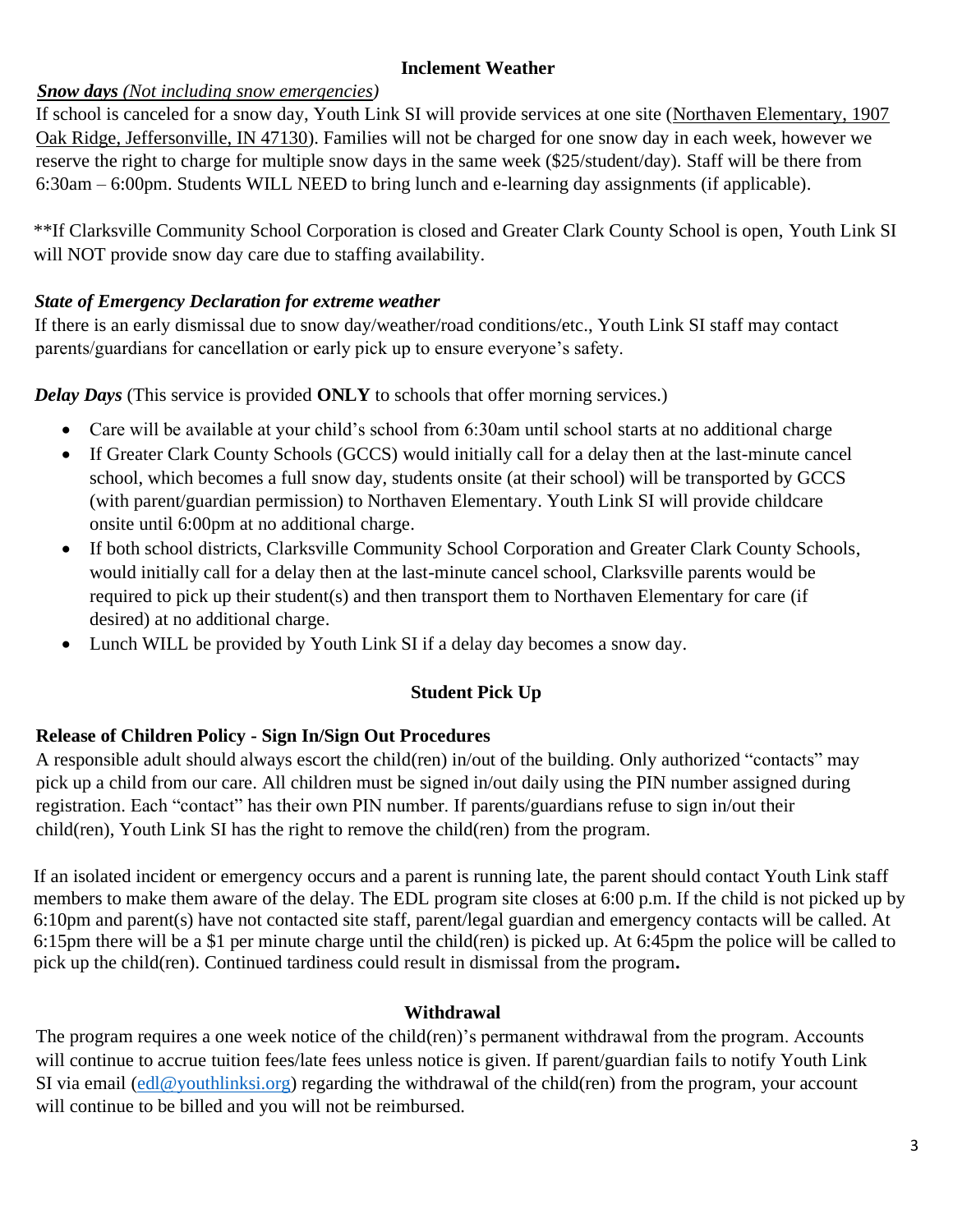## **Inclement Weather**

## *Snow days (Not including snow emergencies)*

If school is canceled for a snow day, Youth Link SI will provide services at one site (Northaven Elementary, 1907 Oak Ridge, Jeffersonville, IN 47130). Families will not be charged for one snow day in each week, however we reserve the right to charge for multiple snow days in the same week (\$25/student/day). Staff will be there from 6:30am – 6:00pm. Students WILL NEED to bring lunch and e-learning day assignments (if applicable).

\*\*If Clarksville Community School Corporation is closed and Greater Clark County School is open, Youth Link SI will NOT provide snow day care due to staffing availability.

#### *State of Emergency Declaration for extreme weather*

If there is an early dismissal due to snow day/weather/road conditions/etc., Youth Link SI staff may contact parents/guardians for cancellation or early pick up to ensure everyone's safety.

*Delay Days* (This service is provided **ONLY** to schools that offer morning services.)

- Care will be available at your child's school from 6:30am until school starts at no additional charge
- If Greater Clark County Schools (GCCS) would initially call for a delay then at the last-minute cancel school, which becomes a full snow day, students onsite (at their school) will be transported by GCCS (with parent/guardian permission) to Northaven Elementary. Youth Link SI will provide childcare onsite until 6:00pm at no additional charge.
- If both school districts, Clarksville Community School Corporation and Greater Clark County Schools, would initially call for a delay then at the last-minute cancel school, Clarksville parents would be required to pick up their student(s) and then transport them to Northaven Elementary for care (if desired) at no additional charge.
- Lunch WILL be provided by Youth Link SI if a delay day becomes a snow day.

## **Student Pick Up**

## **Release of Children Policy - Sign In/Sign Out Procedures**

A responsible adult should always escort the child(ren) in/out of the building. Only authorized "contacts" may pick up a child from our care. All children must be signed in/out daily using the PIN number assigned during registration. Each "contact" has their own PIN number. If parents/guardians refuse to sign in/out their child(ren), Youth Link SI has the right to remove the child(ren) from the program.

If an isolated incident or emergency occurs and a parent is running late, the parent should contact Youth Link staff members to make them aware of the delay. The EDL program site closes at 6:00 p.m. If the child is not picked up by 6:10pm and parent(s) have not contacted site staff, parent/legal guardian and emergency contacts will be called. At 6:15pm there will be a \$1 per minute charge until the child(ren) is picked up. At 6:45pm the police will be called to pick up the child(ren). Continued tardiness could result in dismissal from the program**.**

#### **Withdrawal**

The program requires a one week notice of the child(ren)'s permanent withdrawal from the program. Accounts will continue to accrue tuition fees/late fees unless notice is given. If parent/guardian fails to notify Youth Link SI via email [\(edl@youthlinksi.org\)](mailto:edl@youthlinksi.org) regarding the withdrawal of the child(ren) from the program, your account will continue to be billed and you will not be reimbursed.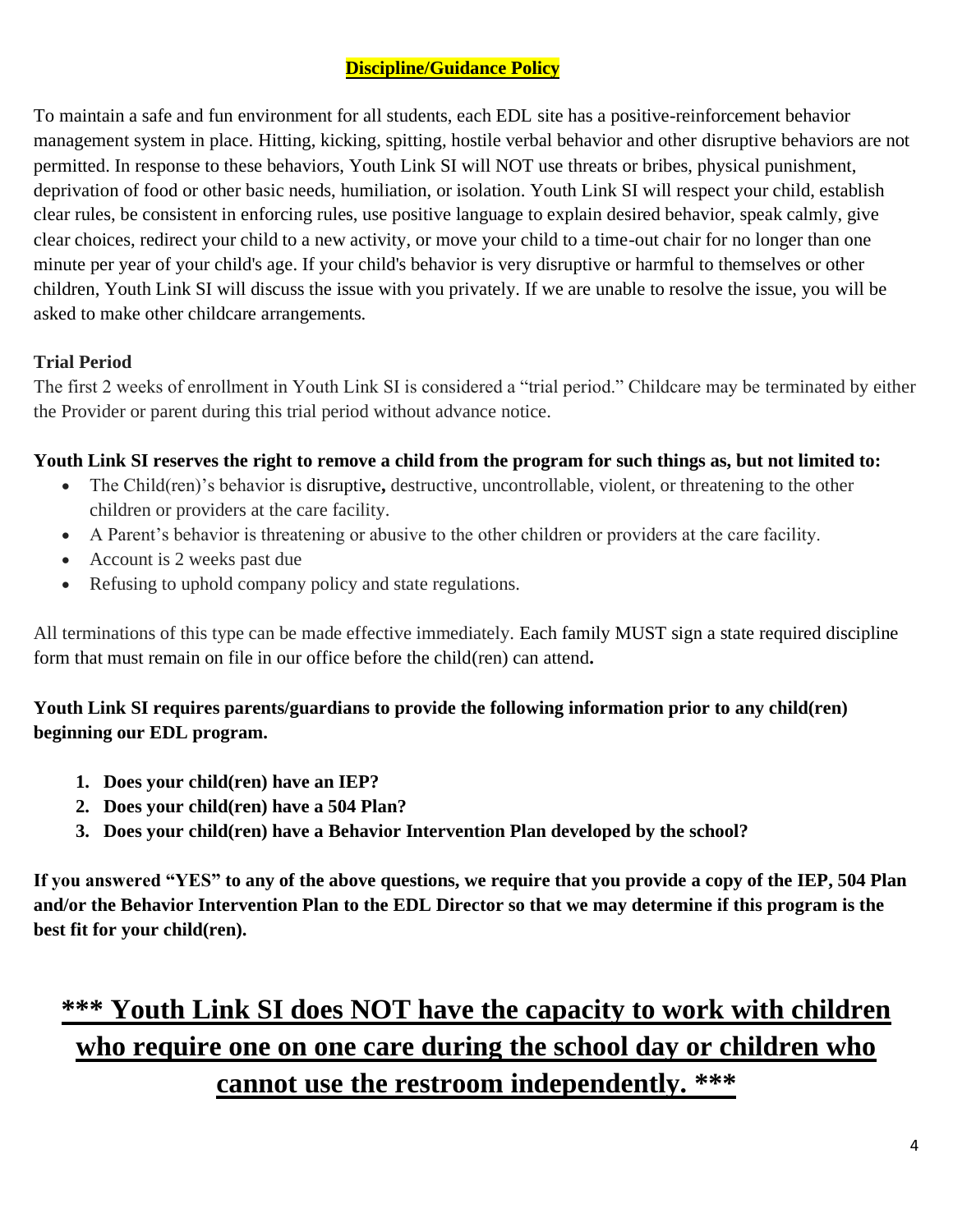# **Discipline/Guidance Policy**

To maintain a safe and fun environment for all students, each EDL site has a positive-reinforcement behavior management system in place. Hitting, kicking, spitting, hostile verbal behavior and other disruptive behaviors are not permitted. In response to these behaviors, Youth Link SI will NOT use threats or bribes, physical punishment, deprivation of food or other basic needs, humiliation, or isolation. Youth Link SI will respect your child, establish clear rules, be consistent in enforcing rules, use positive language to explain desired behavior, speak calmly, give clear choices, redirect your child to a new activity, or move your child to a time-out chair for no longer than one minute per year of your child's age. If your child's behavior is very disruptive or harmful to themselves or other children, Youth Link SI will discuss the issue with you privately. If we are unable to resolve the issue, you will be asked to make other childcare arrangements.

## **Trial Period**

The first 2 weeks of enrollment in Youth Link SI is considered a "trial period." Childcare may be terminated by either the Provider or parent during this trial period without advance notice.

## **Youth Link SI reserves the right to remove a child from the program for such things as, but not limited to:**

- The Child(ren)'s behavior is disruptive**,** destructive, uncontrollable, violent, or threatening to the other children or providers at the care facility.
- A Parent's behavior is threatening or abusive to the other children or providers at the care facility.
- Account is 2 weeks past due
- Refusing to uphold company policy and state regulations.

All terminations of this type can be made effective immediately. Each family MUST sign a state required discipline form that must remain on file in our office before the child(ren) can attend**.** 

# **Youth Link SI requires parents/guardians to provide the following information prior to any child(ren) beginning our EDL program.**

- **1. Does your child(ren) have an IEP?**
- **2. Does your child(ren) have a 504 Plan?**
- **3. Does your child(ren) have a Behavior Intervention Plan developed by the school?**

**If you answered "YES" to any of the above questions, we require that you provide a copy of the IEP, 504 Plan and/or the Behavior Intervention Plan to the EDL Director so that we may determine if this program is the best fit for your child(ren).** 

# **\*\*\* Youth Link SI does NOT have the capacity to work with children who require one on one care during the school day or children who cannot use the restroom independently. \*\*\***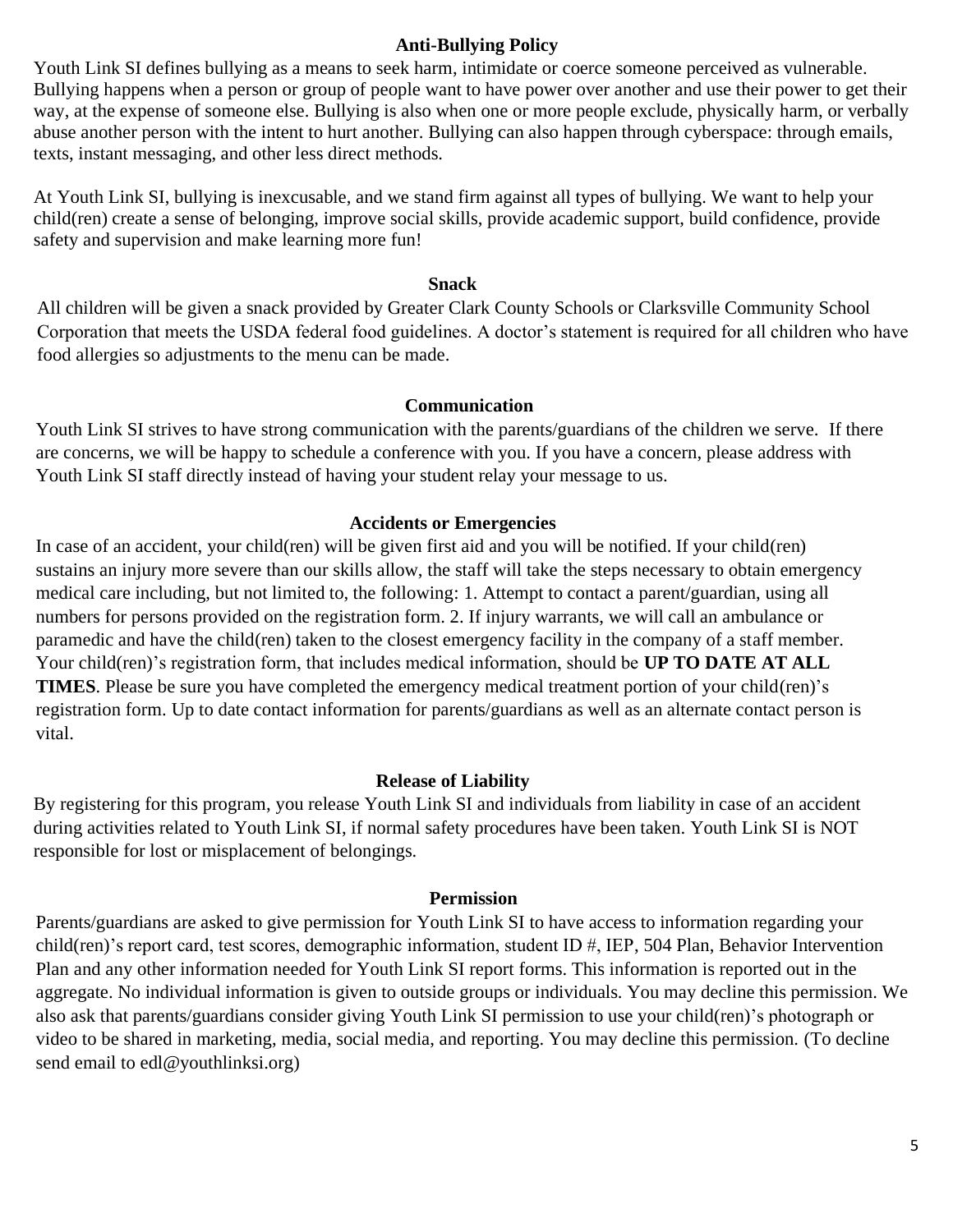#### **Anti-Bullying Policy**

Youth Link SI defines bullying as a means to seek harm, intimidate or coerce someone perceived as vulnerable. Bullying happens when a person or group of people want to have power over another and use their power to get their way, at the expense of someone else. Bullying is also when one or more people exclude, physically harm, or verbally abuse another person with the intent to hurt another. Bullying can also happen through cyberspace: through emails, texts, instant messaging, and other less direct methods.

At Youth Link SI, bullying is inexcusable, and we stand firm against all types of bullying. We want to help your child(ren) create a sense of belonging, improve social skills, provide academic support, build confidence, provide safety and supervision and make learning more fun!

#### **Snack**

All children will be given a snack provided by Greater Clark County Schools or Clarksville Community School Corporation that meets the USDA federal food guidelines. A doctor's statement is required for all children who have food allergies so adjustments to the menu can be made.

#### **Communication**

Youth Link SI strives to have strong communication with the parents/guardians of the children we serve. If there are concerns, we will be happy to schedule a conference with you. If you have a concern, please address with Youth Link SI staff directly instead of having your student relay your message to us.

#### **Accidents or Emergencies**

In case of an accident, your child(ren) will be given first aid and you will be notified. If your child(ren) sustains an injury more severe than our skills allow, the staff will take the steps necessary to obtain emergency medical care including, but not limited to, the following: 1. Attempt to contact a parent/guardian, using all numbers for persons provided on the registration form. 2. If injury warrants, we will call an ambulance or paramedic and have the child(ren) taken to the closest emergency facility in the company of a staff member. Your child(ren)'s registration form, that includes medical information, should be **UP TO DATE AT ALL TIMES**. Please be sure you have completed the emergency medical treatment portion of your child(ren)'s registration form. Up to date contact information for parents/guardians as well as an alternate contact person is vital.

#### **Release of Liability**

By registering for this program, you release Youth Link SI and individuals from liability in case of an accident during activities related to Youth Link SI, if normal safety procedures have been taken. Youth Link SI is NOT responsible for lost or misplacement of belongings.

#### **Permission**

Parents/guardians are asked to give permission for Youth Link SI to have access to information regarding your child(ren)'s report card, test scores, demographic information, student ID #, IEP, 504 Plan, Behavior Intervention Plan and any other information needed for Youth Link SI report forms. This information is reported out in the aggregate. No individual information is given to outside groups or individuals. You may decline this permission. We also ask that parents/guardians consider giving Youth Link SI permission to use your child(ren)'s photograph or video to be shared in marketing, media, social media, and reporting. You may decline this permission. (To decline send email to edl@youthlinksi.org)